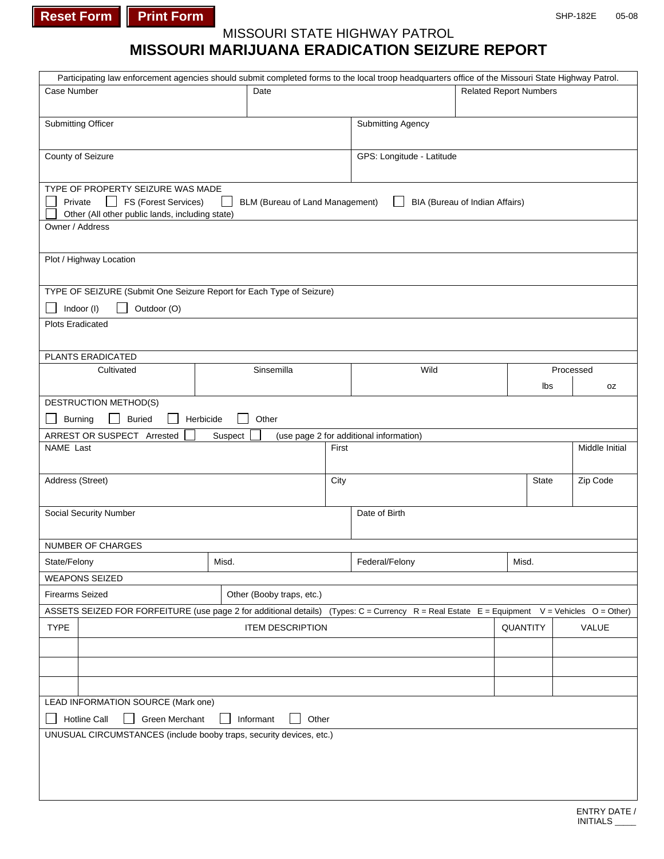**Reset Form Print Form** 

## MISSOURI STATE HIGHWAY PATROL

## **MISSOURI MARIJUANA ERADICATION SEIZURE REPORT**

| Participating law enforcement agencies should submit completed forms to the local troop headquarters office of the Missouri State Highway Patrol. |                                                                                                                                             |                                 |       |                                         |                                |              |                |           |    |  |
|---------------------------------------------------------------------------------------------------------------------------------------------------|---------------------------------------------------------------------------------------------------------------------------------------------|---------------------------------|-------|-----------------------------------------|--------------------------------|--------------|----------------|-----------|----|--|
| Case Number                                                                                                                                       | Date                                                                                                                                        |                                 |       |                                         | <b>Related Report Numbers</b>  |              |                |           |    |  |
|                                                                                                                                                   |                                                                                                                                             |                                 |       |                                         |                                |              |                |           |    |  |
| Submitting Officer                                                                                                                                |                                                                                                                                             |                                 |       | <b>Submitting Agency</b>                |                                |              |                |           |    |  |
|                                                                                                                                                   |                                                                                                                                             |                                 |       |                                         |                                |              |                |           |    |  |
| County of Seizure                                                                                                                                 |                                                                                                                                             |                                 |       | GPS: Longitude - Latitude               |                                |              |                |           |    |  |
|                                                                                                                                                   |                                                                                                                                             |                                 |       |                                         |                                |              |                |           |    |  |
| TYPE OF PROPERTY SEIZURE WAS MADE                                                                                                                 |                                                                                                                                             |                                 |       |                                         |                                |              |                |           |    |  |
| FS (Forest Services)<br>Private                                                                                                                   |                                                                                                                                             | BLM (Bureau of Land Management) |       |                                         | BIA (Bureau of Indian Affairs) |              |                |           |    |  |
| Other (All other public lands, including state)                                                                                                   |                                                                                                                                             |                                 |       |                                         |                                |              |                |           |    |  |
| Owner / Address                                                                                                                                   |                                                                                                                                             |                                 |       |                                         |                                |              |                |           |    |  |
|                                                                                                                                                   |                                                                                                                                             |                                 |       |                                         |                                |              |                |           |    |  |
| Plot / Highway Location                                                                                                                           |                                                                                                                                             |                                 |       |                                         |                                |              |                |           |    |  |
|                                                                                                                                                   |                                                                                                                                             |                                 |       |                                         |                                |              |                |           |    |  |
| TYPE OF SEIZURE (Submit One Seizure Report for Each Type of Seizure)                                                                              |                                                                                                                                             |                                 |       |                                         |                                |              |                |           |    |  |
| Indoor (I)<br>Outdoor (O)                                                                                                                         |                                                                                                                                             |                                 |       |                                         |                                |              |                |           |    |  |
| <b>Plots Eradicated</b>                                                                                                                           |                                                                                                                                             |                                 |       |                                         |                                |              |                |           |    |  |
|                                                                                                                                                   |                                                                                                                                             |                                 |       |                                         |                                |              |                |           |    |  |
|                                                                                                                                                   |                                                                                                                                             |                                 |       |                                         |                                |              |                |           |    |  |
| PLANTS ERADICATED                                                                                                                                 |                                                                                                                                             | Sinsemilla                      |       |                                         |                                |              |                |           |    |  |
| Cultivated                                                                                                                                        |                                                                                                                                             |                                 |       | Wild                                    |                                |              |                | Processed |    |  |
|                                                                                                                                                   |                                                                                                                                             |                                 |       |                                         |                                |              | Ibs            |           | 0Z |  |
| DESTRUCTION METHOD(S)                                                                                                                             |                                                                                                                                             |                                 |       |                                         |                                |              |                |           |    |  |
| <b>Buried</b><br><b>Burning</b>                                                                                                                   | Herbicide                                                                                                                                   | Other                           |       |                                         |                                |              |                |           |    |  |
| ARREST OR SUSPECT Arrested                                                                                                                        | Suspect                                                                                                                                     |                                 |       | (use page 2 for additional information) |                                |              |                |           |    |  |
| NAME Last                                                                                                                                         |                                                                                                                                             |                                 | First |                                         |                                |              | Middle Initial |           |    |  |
|                                                                                                                                                   |                                                                                                                                             |                                 |       |                                         |                                |              |                |           |    |  |
| Address (Street)                                                                                                                                  |                                                                                                                                             |                                 | City  |                                         |                                | <b>State</b> |                | Zip Code  |    |  |
|                                                                                                                                                   |                                                                                                                                             |                                 |       |                                         |                                |              |                |           |    |  |
| Social Security Number                                                                                                                            |                                                                                                                                             |                                 |       | Date of Birth                           |                                |              |                |           |    |  |
|                                                                                                                                                   |                                                                                                                                             |                                 |       |                                         |                                |              |                |           |    |  |
| NUMBER OF CHARGES                                                                                                                                 |                                                                                                                                             |                                 |       |                                         |                                |              |                |           |    |  |
| State/Felony                                                                                                                                      | Misd.                                                                                                                                       |                                 |       | Federal/Felony<br>Misd.                 |                                |              |                |           |    |  |
| <b>WEAPONS SEIZED</b>                                                                                                                             |                                                                                                                                             |                                 |       |                                         |                                |              |                |           |    |  |
| <b>Firearms Seized</b>                                                                                                                            |                                                                                                                                             | Other (Booby traps, etc.)       |       |                                         |                                |              |                |           |    |  |
|                                                                                                                                                   |                                                                                                                                             |                                 |       |                                         |                                |              |                |           |    |  |
|                                                                                                                                                   | ASSETS SEIZED FOR FORFEITURE (use page 2 for additional details) (Types: C = Currency R = Real Estate E = Equipment V = Vehicles O = Other) |                                 |       |                                         |                                |              |                |           |    |  |
| <b>TYPE</b><br><b>ITEM DESCRIPTION</b>                                                                                                            |                                                                                                                                             |                                 |       |                                         | QUANTITY                       |              |                | VALUE     |    |  |
|                                                                                                                                                   |                                                                                                                                             |                                 |       |                                         |                                |              |                |           |    |  |
|                                                                                                                                                   |                                                                                                                                             |                                 |       |                                         |                                |              |                |           |    |  |
|                                                                                                                                                   |                                                                                                                                             |                                 |       |                                         |                                |              |                |           |    |  |
|                                                                                                                                                   |                                                                                                                                             |                                 |       |                                         |                                |              |                |           |    |  |
| LEAD INFORMATION SOURCE (Mark one)                                                                                                                |                                                                                                                                             |                                 |       |                                         |                                |              |                |           |    |  |
| Green Merchant<br>Hotline Call<br>Informant<br>Other                                                                                              |                                                                                                                                             |                                 |       |                                         |                                |              |                |           |    |  |
| UNUSUAL CIRCUMSTANCES (include booby traps, security devices, etc.)                                                                               |                                                                                                                                             |                                 |       |                                         |                                |              |                |           |    |  |
|                                                                                                                                                   |                                                                                                                                             |                                 |       |                                         |                                |              |                |           |    |  |
|                                                                                                                                                   |                                                                                                                                             |                                 |       |                                         |                                |              |                |           |    |  |
|                                                                                                                                                   |                                                                                                                                             |                                 |       |                                         |                                |              |                |           |    |  |
|                                                                                                                                                   |                                                                                                                                             |                                 |       |                                         |                                |              |                |           |    |  |